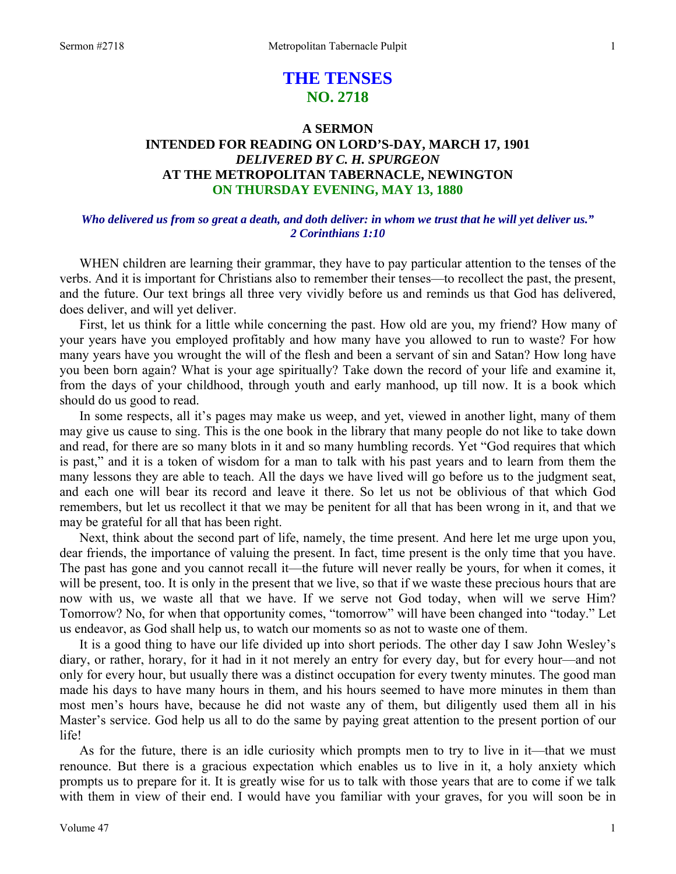# **THE TENSES NO. 2718**

# **A SERMON INTENDED FOR READING ON LORD'S-DAY, MARCH 17, 1901**  *DELIVERED BY C. H. SPURGEON*  **AT THE METROPOLITAN TABERNACLE, NEWINGTON ON THURSDAY EVENING, MAY 13, 1880**

# *Who delivered us from so great a death, and doth deliver: in whom we trust that he will yet deliver us." 2 Corinthians 1:10*

WHEN children are learning their grammar, they have to pay particular attention to the tenses of the verbs. And it is important for Christians also to remember their tenses—to recollect the past, the present, and the future. Our text brings all three very vividly before us and reminds us that God has delivered, does deliver, and will yet deliver.

 First, let us think for a little while concerning the past. How old are you, my friend? How many of your years have you employed profitably and how many have you allowed to run to waste? For how many years have you wrought the will of the flesh and been a servant of sin and Satan? How long have you been born again? What is your age spiritually? Take down the record of your life and examine it, from the days of your childhood, through youth and early manhood, up till now. It is a book which should do us good to read.

 In some respects, all it's pages may make us weep, and yet, viewed in another light, many of them may give us cause to sing. This is the one book in the library that many people do not like to take down and read, for there are so many blots in it and so many humbling records. Yet "God requires that which is past," and it is a token of wisdom for a man to talk with his past years and to learn from them the many lessons they are able to teach. All the days we have lived will go before us to the judgment seat, and each one will bear its record and leave it there. So let us not be oblivious of that which God remembers, but let us recollect it that we may be penitent for all that has been wrong in it, and that we may be grateful for all that has been right.

 Next, think about the second part of life, namely, the time present. And here let me urge upon you, dear friends, the importance of valuing the present. In fact, time present is the only time that you have. The past has gone and you cannot recall it—the future will never really be yours, for when it comes, it will be present, too. It is only in the present that we live, so that if we waste these precious hours that are now with us, we waste all that we have. If we serve not God today, when will we serve Him? Tomorrow? No, for when that opportunity comes, "tomorrow" will have been changed into "today." Let us endeavor, as God shall help us, to watch our moments so as not to waste one of them.

 It is a good thing to have our life divided up into short periods. The other day I saw John Wesley's diary, or rather, horary, for it had in it not merely an entry for every day, but for every hour—and not only for every hour, but usually there was a distinct occupation for every twenty minutes. The good man made his days to have many hours in them, and his hours seemed to have more minutes in them than most men's hours have, because he did not waste any of them, but diligently used them all in his Master's service. God help us all to do the same by paying great attention to the present portion of our life!

 As for the future, there is an idle curiosity which prompts men to try to live in it—that we must renounce. But there is a gracious expectation which enables us to live in it, a holy anxiety which prompts us to prepare for it. It is greatly wise for us to talk with those years that are to come if we talk with them in view of their end. I would have you familiar with your graves, for you will soon be in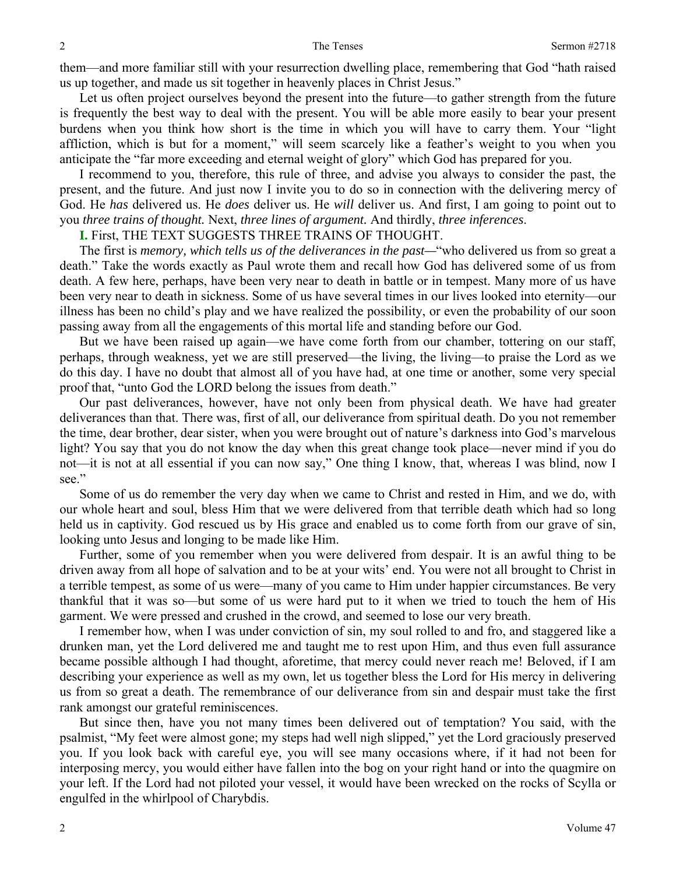them—and more familiar still with your resurrection dwelling place, remembering that God "hath raised us up together, and made us sit together in heavenly places in Christ Jesus."

 Let us often project ourselves beyond the present into the future—to gather strength from the future is frequently the best way to deal with the present. You will be able more easily to bear your present burdens when you think how short is the time in which you will have to carry them. Your "light affliction, which is but for a moment," will seem scarcely like a feather's weight to you when you anticipate the "far more exceeding and eternal weight of glory" which God has prepared for you.

 I recommend to you, therefore, this rule of three, and advise you always to consider the past, the present, and the future. And just now I invite you to do so in connection with the delivering mercy of God. He *has* delivered us. He *does* deliver us. He *will* deliver us. And first, I am going to point out to you *three trains of thought.* Next, *three lines of argument.* And thirdly, *three inferences*.

### **I.** First, THE TEXT SUGGESTS THREE TRAINS OF THOUGHT.

 The first is *memory, which tells us of the deliverances in the past—*"who delivered us from so great a death." Take the words exactly as Paul wrote them and recall how God has delivered some of us from death. A few here, perhaps, have been very near to death in battle or in tempest. Many more of us have been very near to death in sickness. Some of us have several times in our lives looked into eternity—our illness has been no child's play and we have realized the possibility, or even the probability of our soon passing away from all the engagements of this mortal life and standing before our God.

 But we have been raised up again—we have come forth from our chamber, tottering on our staff, perhaps, through weakness, yet we are still preserved—the living, the living—to praise the Lord as we do this day. I have no doubt that almost all of you have had, at one time or another, some very special proof that, "unto God the LORD belong the issues from death."

 Our past deliverances, however, have not only been from physical death. We have had greater deliverances than that. There was, first of all, our deliverance from spiritual death. Do you not remember the time, dear brother, dear sister, when you were brought out of nature's darkness into God's marvelous light? You say that you do not know the day when this great change took place—never mind if you do not—it is not at all essential if you can now say," One thing I know, that, whereas I was blind, now I see."

 Some of us do remember the very day when we came to Christ and rested in Him, and we do, with our whole heart and soul, bless Him that we were delivered from that terrible death which had so long held us in captivity. God rescued us by His grace and enabled us to come forth from our grave of sin, looking unto Jesus and longing to be made like Him.

 Further, some of you remember when you were delivered from despair. It is an awful thing to be driven away from all hope of salvation and to be at your wits' end. You were not all brought to Christ in a terrible tempest, as some of us were—many of you came to Him under happier circumstances. Be very thankful that it was so—but some of us were hard put to it when we tried to touch the hem of His garment. We were pressed and crushed in the crowd, and seemed to lose our very breath.

 I remember how, when I was under conviction of sin, my soul rolled to and fro, and staggered like a drunken man, yet the Lord delivered me and taught me to rest upon Him, and thus even full assurance became possible although I had thought, aforetime, that mercy could never reach me! Beloved, if I am describing your experience as well as my own, let us together bless the Lord for His mercy in delivering us from so great a death. The remembrance of our deliverance from sin and despair must take the first rank amongst our grateful reminiscences.

 But since then, have you not many times been delivered out of temptation? You said, with the psalmist, "My feet were almost gone; my steps had well nigh slipped," yet the Lord graciously preserved you. If you look back with careful eye, you will see many occasions where, if it had not been for interposing mercy, you would either have fallen into the bog on your right hand or into the quagmire on your left. If the Lord had not piloted your vessel, it would have been wrecked on the rocks of Scylla or engulfed in the whirlpool of Charybdis.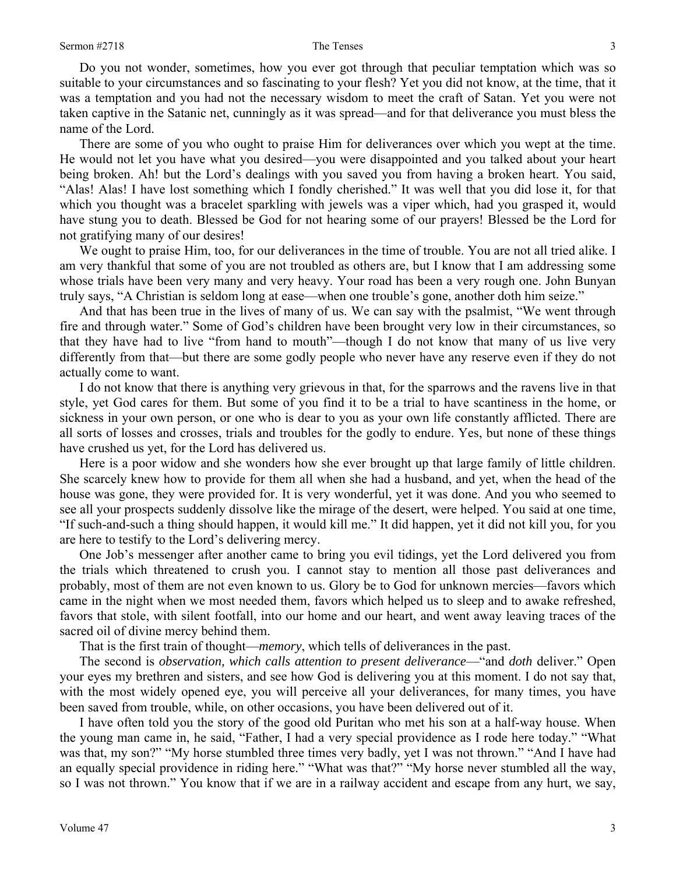Do you not wonder, sometimes, how you ever got through that peculiar temptation which was so suitable to your circumstances and so fascinating to your flesh? Yet you did not know, at the time, that it was a temptation and you had not the necessary wisdom to meet the craft of Satan. Yet you were not taken captive in the Satanic net, cunningly as it was spread—and for that deliverance you must bless the name of the Lord.

 There are some of you who ought to praise Him for deliverances over which you wept at the time. He would not let you have what you desired—you were disappointed and you talked about your heart being broken. Ah! but the Lord's dealings with you saved you from having a broken heart. You said, "Alas! Alas! I have lost something which I fondly cherished." It was well that you did lose it, for that which you thought was a bracelet sparkling with jewels was a viper which, had you grasped it, would have stung you to death. Blessed be God for not hearing some of our prayers! Blessed be the Lord for not gratifying many of our desires!

We ought to praise Him, too, for our deliverances in the time of trouble. You are not all tried alike. I am very thankful that some of you are not troubled as others are, but I know that I am addressing some whose trials have been very many and very heavy. Your road has been a very rough one. John Bunyan truly says, "A Christian is seldom long at ease—when one trouble's gone, another doth him seize."

 And that has been true in the lives of many of us. We can say with the psalmist, "We went through fire and through water." Some of God's children have been brought very low in their circumstances, so that they have had to live "from hand to mouth"—though I do not know that many of us live very differently from that—but there are some godly people who never have any reserve even if they do not actually come to want.

 I do not know that there is anything very grievous in that, for the sparrows and the ravens live in that style, yet God cares for them. But some of you find it to be a trial to have scantiness in the home, or sickness in your own person, or one who is dear to you as your own life constantly afflicted. There are all sorts of losses and crosses, trials and troubles for the godly to endure. Yes, but none of these things have crushed us yet, for the Lord has delivered us.

 Here is a poor widow and she wonders how she ever brought up that large family of little children. She scarcely knew how to provide for them all when she had a husband, and yet, when the head of the house was gone, they were provided for. It is very wonderful, yet it was done. And you who seemed to see all your prospects suddenly dissolve like the mirage of the desert, were helped. You said at one time, "If such-and-such a thing should happen, it would kill me." It did happen, yet it did not kill you, for you are here to testify to the Lord's delivering mercy.

 One Job's messenger after another came to bring you evil tidings, yet the Lord delivered you from the trials which threatened to crush you. I cannot stay to mention all those past deliverances and probably, most of them are not even known to us. Glory be to God for unknown mercies—favors which came in the night when we most needed them, favors which helped us to sleep and to awake refreshed, favors that stole, with silent footfall, into our home and our heart, and went away leaving traces of the sacred oil of divine mercy behind them.

That is the first train of thought—*memory*, which tells of deliverances in the past.

 The second is *observation, which calls attention to present deliverance*—"and *doth* deliver." Open your eyes my brethren and sisters, and see how God is delivering you at this moment. I do not say that, with the most widely opened eye, you will perceive all your deliverances, for many times, you have been saved from trouble, while, on other occasions, you have been delivered out of it.

 I have often told you the story of the good old Puritan who met his son at a half-way house. When the young man came in, he said, "Father, I had a very special providence as I rode here today." "What was that, my son?" "My horse stumbled three times very badly, yet I was not thrown." "And I have had an equally special providence in riding here." "What was that?" "My horse never stumbled all the way, so I was not thrown." You know that if we are in a railway accident and escape from any hurt, we say,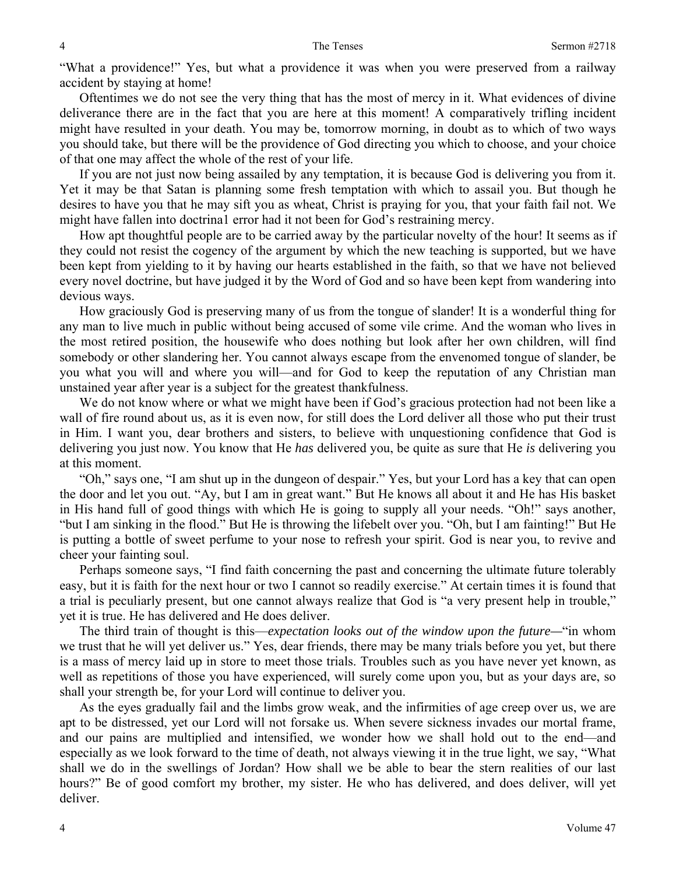"What a providence!" Yes, but what a providence it was when you were preserved from a railway accident by staying at home!

 Oftentimes we do not see the very thing that has the most of mercy in it. What evidences of divine deliverance there are in the fact that you are here at this moment! A comparatively trifling incident might have resulted in your death. You may be, tomorrow morning, in doubt as to which of two ways you should take, but there will be the providence of God directing you which to choose, and your choice of that one may affect the whole of the rest of your life.

 If you are not just now being assailed by any temptation, it is because God is delivering you from it. Yet it may be that Satan is planning some fresh temptation with which to assail you. But though he desires to have you that he may sift you as wheat, Christ is praying for you, that your faith fail not. We might have fallen into doctrina1 error had it not been for God's restraining mercy.

 How apt thoughtful people are to be carried away by the particular novelty of the hour! It seems as if they could not resist the cogency of the argument by which the new teaching is supported, but we have been kept from yielding to it by having our hearts established in the faith, so that we have not believed every novel doctrine, but have judged it by the Word of God and so have been kept from wandering into devious ways.

 How graciously God is preserving many of us from the tongue of slander! It is a wonderful thing for any man to live much in public without being accused of some vile crime. And the woman who lives in the most retired position, the housewife who does nothing but look after her own children, will find somebody or other slandering her. You cannot always escape from the envenomed tongue of slander, be you what you will and where you will—and for God to keep the reputation of any Christian man unstained year after year is a subject for the greatest thankfulness.

We do not know where or what we might have been if God's gracious protection had not been like a wall of fire round about us, as it is even now, for still does the Lord deliver all those who put their trust in Him. I want you, dear brothers and sisters, to believe with unquestioning confidence that God is delivering you just now. You know that He *has* delivered you, be quite as sure that He *is* delivering you at this moment.

 "Oh," says one, "I am shut up in the dungeon of despair." Yes, but your Lord has a key that can open the door and let you out. "Ay, but I am in great want." But He knows all about it and He has His basket in His hand full of good things with which He is going to supply all your needs. "Oh!" says another, "but I am sinking in the flood." But He is throwing the lifebelt over you. "Oh, but I am fainting!" But He is putting a bottle of sweet perfume to your nose to refresh your spirit. God is near you, to revive and cheer your fainting soul.

 Perhaps someone says, "I find faith concerning the past and concerning the ultimate future tolerably easy, but it is faith for the next hour or two I cannot so readily exercise." At certain times it is found that a trial is peculiarly present, but one cannot always realize that God is "a very present help in trouble," yet it is true. He has delivered and He does deliver.

 The third train of thought is this—*expectation looks out of the window upon the future—*"in whom we trust that he will yet deliver us." Yes, dear friends, there may be many trials before you yet, but there is a mass of mercy laid up in store to meet those trials. Troubles such as you have never yet known, as well as repetitions of those you have experienced, will surely come upon you, but as your days are, so shall your strength be, for your Lord will continue to deliver you.

 As the eyes gradually fail and the limbs grow weak, and the infirmities of age creep over us, we are apt to be distressed, yet our Lord will not forsake us. When severe sickness invades our mortal frame, and our pains are multiplied and intensified, we wonder how we shall hold out to the end—and especially as we look forward to the time of death, not always viewing it in the true light, we say, "What shall we do in the swellings of Jordan? How shall we be able to bear the stern realities of our last hours?" Be of good comfort my brother, my sister. He who has delivered, and does deliver, will yet deliver.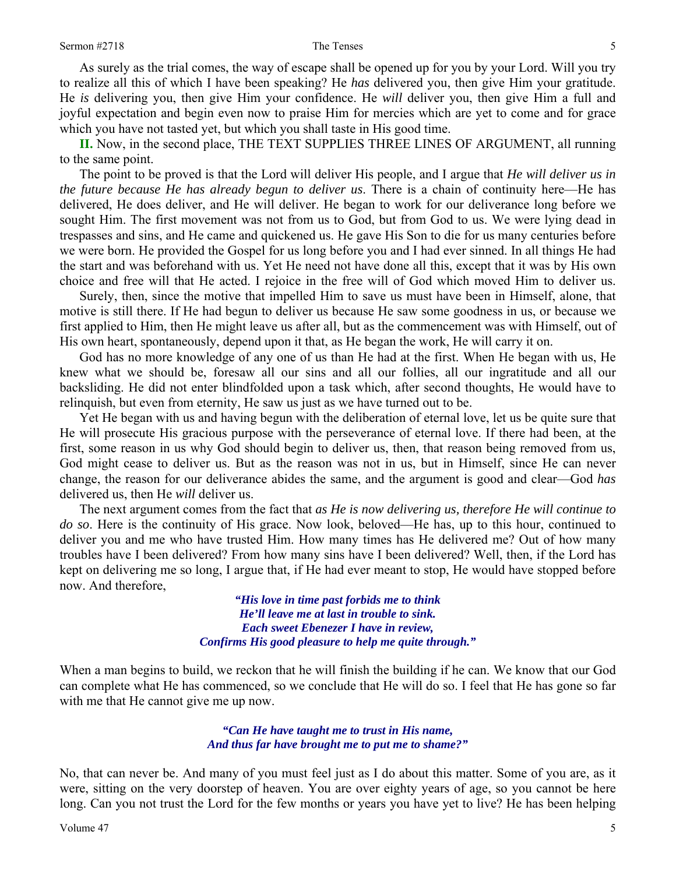As surely as the trial comes, the way of escape shall be opened up for you by your Lord. Will you try to realize all this of which I have been speaking? He *has* delivered you, then give Him your gratitude. He *is* delivering you, then give Him your confidence. He *will* deliver you, then give Him a full and joyful expectation and begin even now to praise Him for mercies which are yet to come and for grace which you have not tasted yet, but which you shall taste in His good time.

**II.** Now, in the second place, THE TEXT SUPPLIES THREE LINES OF ARGUMENT, all running to the same point.

 The point to be proved is that the Lord will deliver His people, and I argue that *He will deliver us in the future because He has already begun to deliver us*. There is a chain of continuity here—He has delivered, He does deliver, and He will deliver. He began to work for our deliverance long before we sought Him. The first movement was not from us to God, but from God to us. We were lying dead in trespasses and sins, and He came and quickened us. He gave His Son to die for us many centuries before we were born. He provided the Gospel for us long before you and I had ever sinned. In all things He had the start and was beforehand with us. Yet He need not have done all this, except that it was by His own choice and free will that He acted. I rejoice in the free will of God which moved Him to deliver us.

 Surely, then, since the motive that impelled Him to save us must have been in Himself, alone, that motive is still there. If He had begun to deliver us because He saw some goodness in us, or because we first applied to Him, then He might leave us after all, but as the commencement was with Himself, out of His own heart, spontaneously, depend upon it that, as He began the work, He will carry it on.

 God has no more knowledge of any one of us than He had at the first. When He began with us, He knew what we should be, foresaw all our sins and all our follies, all our ingratitude and all our backsliding. He did not enter blindfolded upon a task which, after second thoughts, He would have to relinquish, but even from eternity, He saw us just as we have turned out to be.

 Yet He began with us and having begun with the deliberation of eternal love, let us be quite sure that He will prosecute His gracious purpose with the perseverance of eternal love. If there had been, at the first, some reason in us why God should begin to deliver us, then, that reason being removed from us, God might cease to deliver us. But as the reason was not in us, but in Himself, since He can never change, the reason for our deliverance abides the same, and the argument is good and clear—God *has* delivered us, then He *will* deliver us.

 The next argument comes from the fact that *as He is now delivering us, therefore He will continue to do so*. Here is the continuity of His grace. Now look, beloved—He has, up to this hour, continued to deliver you and me who have trusted Him. How many times has He delivered me? Out of how many troubles have I been delivered? From how many sins have I been delivered? Well, then, if the Lord has kept on delivering me so long, I argue that, if He had ever meant to stop, He would have stopped before now. And therefore,

> *"His love in time past forbids me to think He'll leave me at last in trouble to sink. Each sweet Ebenezer I have in review, Confirms His good pleasure to help me quite through."*

When a man begins to build, we reckon that he will finish the building if he can. We know that our God can complete what He has commenced, so we conclude that He will do so. I feel that He has gone so far with me that He cannot give me up now.

> *"Can He have taught me to trust in His name, And thus far have brought me to put me to shame?"*

No, that can never be. And many of you must feel just as I do about this matter. Some of you are, as it were, sitting on the very doorstep of heaven. You are over eighty years of age, so you cannot be here long. Can you not trust the Lord for the few months or years you have yet to live? He has been helping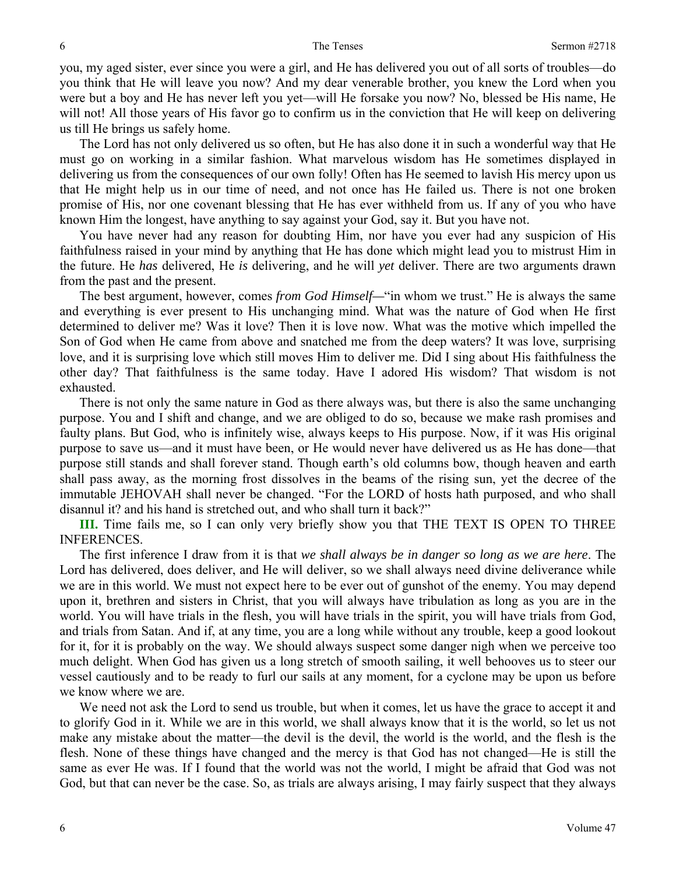you, my aged sister, ever since you were a girl, and He has delivered you out of all sorts of troubles—do you think that He will leave you now? And my dear venerable brother, you knew the Lord when you were but a boy and He has never left you yet—will He forsake you now? No, blessed be His name, He will not! All those years of His favor go to confirm us in the conviction that He will keep on delivering us till He brings us safely home.

 The Lord has not only delivered us so often, but He has also done it in such a wonderful way that He must go on working in a similar fashion. What marvelous wisdom has He sometimes displayed in delivering us from the consequences of our own folly! Often has He seemed to lavish His mercy upon us that He might help us in our time of need, and not once has He failed us. There is not one broken promise of His, nor one covenant blessing that He has ever withheld from us. If any of you who have known Him the longest, have anything to say against your God, say it. But you have not.

 You have never had any reason for doubting Him, nor have you ever had any suspicion of His faithfulness raised in your mind by anything that He has done which might lead you to mistrust Him in the future. He *has* delivered, He *is* delivering, and he will *yet* deliver. There are two arguments drawn from the past and the present.

 The best argument, however, comes *from God Himself—*"in whom we trust." He is always the same and everything is ever present to His unchanging mind. What was the nature of God when He first determined to deliver me? Was it love? Then it is love now. What was the motive which impelled the Son of God when He came from above and snatched me from the deep waters? It was love, surprising love, and it is surprising love which still moves Him to deliver me. Did I sing about His faithfulness the other day? That faithfulness is the same today. Have I adored His wisdom? That wisdom is not exhausted.

 There is not only the same nature in God as there always was, but there is also the same unchanging purpose. You and I shift and change, and we are obliged to do so, because we make rash promises and faulty plans. But God, who is infinitely wise, always keeps to His purpose. Now, if it was His original purpose to save us—and it must have been, or He would never have delivered us as He has done—that purpose still stands and shall forever stand. Though earth's old columns bow, though heaven and earth shall pass away, as the morning frost dissolves in the beams of the rising sun, yet the decree of the immutable JEHOVAH shall never be changed. "For the LORD of hosts hath purposed, and who shall disannul it? and his hand is stretched out, and who shall turn it back?"

**III.** Time fails me, so I can only very briefly show you that THE TEXT IS OPEN TO THREE INFERENCES.

 The first inference I draw from it is that *we shall always be in danger so long as we are here*. The Lord has delivered, does deliver, and He will deliver, so we shall always need divine deliverance while we are in this world. We must not expect here to be ever out of gunshot of the enemy. You may depend upon it, brethren and sisters in Christ, that you will always have tribulation as long as you are in the world. You will have trials in the flesh, you will have trials in the spirit, you will have trials from God, and trials from Satan. And if, at any time, you are a long while without any trouble, keep a good lookout for it, for it is probably on the way. We should always suspect some danger nigh when we perceive too much delight. When God has given us a long stretch of smooth sailing, it well behooves us to steer our vessel cautiously and to be ready to furl our sails at any moment, for a cyclone may be upon us before we know where we are.

 We need not ask the Lord to send us trouble, but when it comes, let us have the grace to accept it and to glorify God in it. While we are in this world, we shall always know that it is the world, so let us not make any mistake about the matter—the devil is the devil, the world is the world, and the flesh is the flesh. None of these things have changed and the mercy is that God has not changed—He is still the same as ever He was. If I found that the world was not the world, I might be afraid that God was not God, but that can never be the case. So, as trials are always arising, I may fairly suspect that they always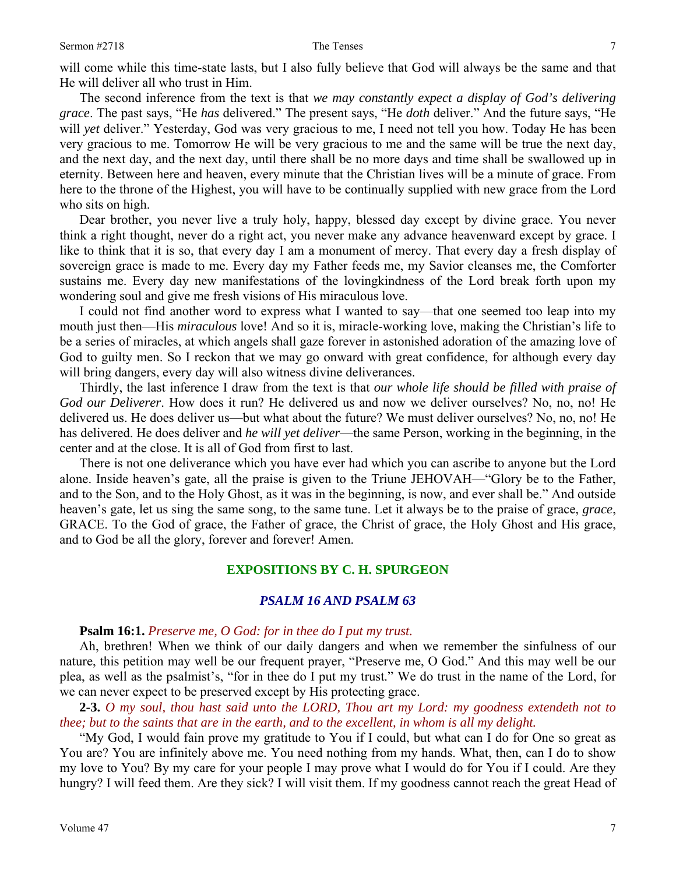The second inference from the text is that *we may constantly expect a display of God's delivering grace*. The past says, "He *has* delivered." The present says, "He *doth* deliver." And the future says, "He will *yet* deliver." Yesterday, God was very gracious to me, I need not tell you how. Today He has been very gracious to me. Tomorrow He will be very gracious to me and the same will be true the next day, and the next day, and the next day, until there shall be no more days and time shall be swallowed up in eternity. Between here and heaven, every minute that the Christian lives will be a minute of grace. From here to the throne of the Highest, you will have to be continually supplied with new grace from the Lord who sits on high.

 Dear brother, you never live a truly holy, happy, blessed day except by divine grace. You never think a right thought, never do a right act, you never make any advance heavenward except by grace. I like to think that it is so, that every day I am a monument of mercy. That every day a fresh display of sovereign grace is made to me. Every day my Father feeds me, my Savior cleanses me, the Comforter sustains me. Every day new manifestations of the lovingkindness of the Lord break forth upon my wondering soul and give me fresh visions of His miraculous love.

 I could not find another word to express what I wanted to say—that one seemed too leap into my mouth just then—His *miraculous* love! And so it is, miracle-working love, making the Christian's life to be a series of miracles, at which angels shall gaze forever in astonished adoration of the amazing love of God to guilty men. So I reckon that we may go onward with great confidence, for although every day will bring dangers, every day will also witness divine deliverances.

 Thirdly, the last inference I draw from the text is that *our whole life should be filled with praise of God our Deliverer*. How does it run? He delivered us and now we deliver ourselves? No, no, no! He delivered us. He does deliver us—but what about the future? We must deliver ourselves? No, no, no! He has delivered. He does deliver and *he will yet deliver*—the same Person, working in the beginning, in the center and at the close. It is all of God from first to last.

 There is not one deliverance which you have ever had which you can ascribe to anyone but the Lord alone. Inside heaven's gate, all the praise is given to the Triune JEHOVAH—"Glory be to the Father, and to the Son, and to the Holy Ghost, as it was in the beginning, is now, and ever shall be." And outside heaven's gate, let us sing the same song, to the same tune. Let it always be to the praise of grace, *grace*, GRACE. To the God of grace, the Father of grace, the Christ of grace, the Holy Ghost and His grace, and to God be all the glory, forever and forever! Amen.

### **EXPOSITIONS BY C. H. SPURGEON**

### *PSALM 16 AND PSALM 63*

# **Psalm 16:1.** *Preserve me, O God: for in thee do I put my trust.*

 Ah, brethren! When we think of our daily dangers and when we remember the sinfulness of our nature, this petition may well be our frequent prayer, "Preserve me, O God." And this may well be our plea, as well as the psalmist's, "for in thee do I put my trust." We do trust in the name of the Lord, for we can never expect to be preserved except by His protecting grace.

**2-3.** *O my soul, thou hast said unto the LORD, Thou art my Lord: my goodness extendeth not to thee; but to the saints that are in the earth, and to the excellent, in whom is all my delight.* 

 "My God, I would fain prove my gratitude to You if I could, but what can I do for One so great as You are? You are infinitely above me. You need nothing from my hands. What, then, can I do to show my love to You? By my care for your people I may prove what I would do for You if I could. Are they hungry? I will feed them. Are they sick? I will visit them. If my goodness cannot reach the great Head of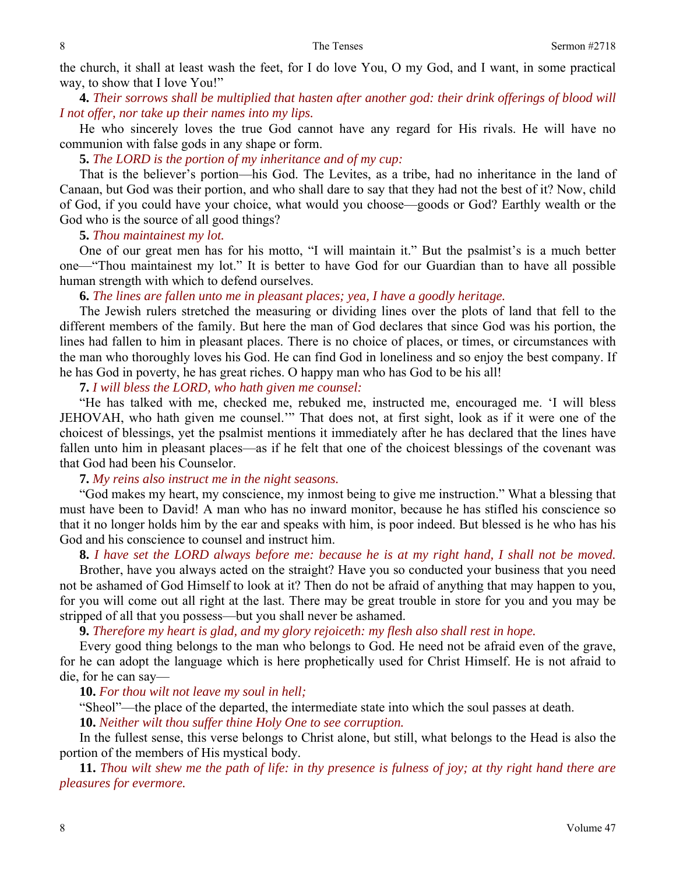the church, it shall at least wash the feet, for I do love You, O my God, and I want, in some practical way, to show that I love You!"

**4.** *Their sorrows shall be multiplied that hasten after another god: their drink offerings of blood will I not offer, nor take up their names into my lips.* 

 He who sincerely loves the true God cannot have any regard for His rivals. He will have no communion with false gods in any shape or form.

**5.** *The LORD is the portion of my inheritance and of my cup:* 

 That is the believer's portion—his God. The Levites, as a tribe, had no inheritance in the land of Canaan, but God was their portion, and who shall dare to say that they had not the best of it? Now, child of God, if you could have your choice, what would you choose—goods or God? Earthly wealth or the God who is the source of all good things?

**5.** *Thou maintainest my lot.* 

 One of our great men has for his motto, "I will maintain it." But the psalmist's is a much better one—"Thou maintainest my lot." It is better to have God for our Guardian than to have all possible human strength with which to defend ourselves.

**6.** *The lines are fallen unto me in pleasant places; yea, I have a goodly heritage.* 

 The Jewish rulers stretched the measuring or dividing lines over the plots of land that fell to the different members of the family. But here the man of God declares that since God was his portion, the lines had fallen to him in pleasant places. There is no choice of places, or times, or circumstances with the man who thoroughly loves his God. He can find God in loneliness and so enjoy the best company. If he has God in poverty, he has great riches. O happy man who has God to be his all!

**7.** *I will bless the LORD, who hath given me counsel:*

 "He has talked with me, checked me, rebuked me, instructed me, encouraged me. 'I will bless JEHOVAH, who hath given me counsel.'" That does not, at first sight, look as if it were one of the choicest of blessings, yet the psalmist mentions it immediately after he has declared that the lines have fallen unto him in pleasant places—as if he felt that one of the choicest blessings of the covenant was that God had been his Counselor.

**7.** *My reins also instruct me in the night seasons.* 

 "God makes my heart, my conscience, my inmost being to give me instruction." What a blessing that must have been to David! A man who has no inward monitor, because he has stifled his conscience so that it no longer holds him by the ear and speaks with him, is poor indeed. But blessed is he who has his God and his conscience to counsel and instruct him.

**8.** *I have set the LORD always before me: because he is at my right hand, I shall not be moved.*

Brother, have you always acted on the straight? Have you so conducted your business that you need not be ashamed of God Himself to look at it? Then do not be afraid of anything that may happen to you, for you will come out all right at the last. There may be great trouble in store for you and you may be stripped of all that you possess—but you shall never be ashamed.

**9.** *Therefore my heart is glad, and my glory rejoiceth: my flesh also shall rest in hope.* 

 Every good thing belongs to the man who belongs to God. He need not be afraid even of the grave, for he can adopt the language which is here prophetically used for Christ Himself. He is not afraid to die, for he can say—

**10.** *For thou wilt not leave my soul in hell;*

"Sheol"—the place of the departed, the intermediate state into which the soul passes at death.

**10.** *Neither wilt thou suffer thine Holy One to see corruption.*

 In the fullest sense, this verse belongs to Christ alone, but still, what belongs to the Head is also the portion of the members of His mystical body.

**11.** *Thou wilt shew me the path of life: in thy presence is fulness of joy; at thy right hand there are pleasures for evermore.*